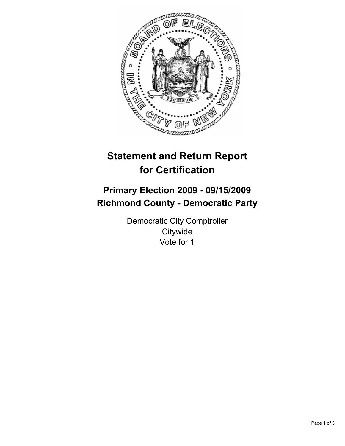

# **Statement and Return Report for Certification**

## **Primary Election 2009 - 09/15/2009 Richmond County - Democratic Party**

Democratic City Comptroller **Citywide** Vote for 1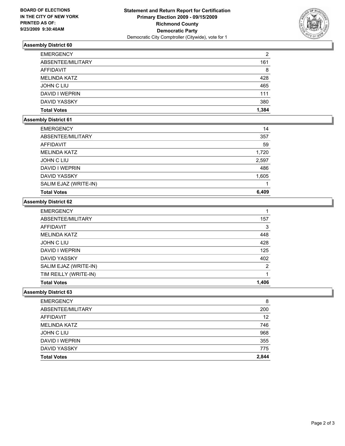

## **Assembly District 60**

| <b>EMERGENCY</b>    | 2     |
|---------------------|-------|
| ABSENTEE/MILITARY   | 161   |
| AFFIDAVIT           | 8     |
| <b>MELINDA KATZ</b> | 428   |
| JOHN C LIU          | 465   |
| DAVID I WEPRIN      | 111   |
| DAVID YASSKY        | 380   |
| <b>Total Votes</b>  | 1.384 |

### **Assembly District 61**

| <b>EMERGENCY</b>      | 14    |
|-----------------------|-------|
| ABSENTEE/MILITARY     | 357   |
| AFFIDAVIT             | 59    |
| <b>MELINDA KATZ</b>   | 1,720 |
| JOHN C LIU            | 2,597 |
| DAVID I WEPRIN        | 486   |
| DAVID YASSKY          | 1,605 |
| SALIM EJAZ (WRITE-IN) |       |
| <b>Total Votes</b>    | 6,409 |

#### **Assembly District 62**

| <b>EMERGENCY</b>      |                |
|-----------------------|----------------|
| ABSENTEE/MILITARY     | 157            |
| <b>AFFIDAVIT</b>      | 3              |
| <b>MELINDA KATZ</b>   | 448            |
| <b>JOHN C LIU</b>     | 428            |
| DAVID I WEPRIN        | 125            |
| <b>DAVID YASSKY</b>   | 402            |
| SALIM EJAZ (WRITE-IN) | $\overline{2}$ |
| TIM REILLY (WRITE-IN) |                |
| <b>Total Votes</b>    | 1,406          |

#### **Assembly District 63**

| <b>EMERGENCY</b>    | 8     |
|---------------------|-------|
| ABSENTEE/MILITARY   | 200   |
| AFFIDAVIT           | 12    |
| <b>MELINDA KATZ</b> | 746   |
| <b>JOHN C LIU</b>   | 968   |
| DAVID I WEPRIN      | 355   |
| DAVID YASSKY        | 775   |
| <b>Total Votes</b>  | 2,844 |